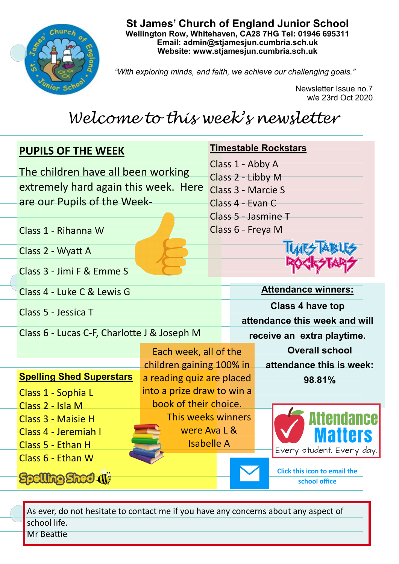

**St James' Church of England Junior School Wellington Row, Whitehaven, CA28 7HG Tel: 01946 695311 Email: admin@stjamesjun.cumbria.sch.uk Website: www.stjamesjun.cumbria.sch.uk**

*"With exploring minds, and faith, we achieve our challenging goals."*

Newsletter Issue no.7 w/e 23rd Oct 2020

## *Welcome to this week's newsletter*

| <b>PUPILS OF THE WEEK</b>                   |                                                                            |                                    | <b>Timestable Rockstars</b> |                                                             |                                          |                                                      |  |
|---------------------------------------------|----------------------------------------------------------------------------|------------------------------------|-----------------------------|-------------------------------------------------------------|------------------------------------------|------------------------------------------------------|--|
|                                             | The children have all been working<br>extremely hard again this week. Here |                                    |                             | Class 1 - Abby A<br>Class 2 - Libby M<br>Class 3 - Marcie S |                                          |                                                      |  |
|                                             | are our Pupils of the Week-                                                |                                    |                             | Class 4 - Evan C                                            |                                          |                                                      |  |
|                                             | Class 1 - Rihanna W                                                        |                                    |                             |                                                             | Class 5 - Jasmine T<br>Class 6 - Freya M |                                                      |  |
|                                             | Class 2 - Wyatt A                                                          |                                    |                             |                                                             |                                          |                                                      |  |
|                                             | Class 3 - Jimi F & Emme S                                                  |                                    |                             |                                                             |                                          |                                                      |  |
|                                             | Class 4 - Luke C & Lewis G                                                 |                                    |                             | <b>Attendance winners:</b>                                  |                                          |                                                      |  |
|                                             | Class 5 - Jessica T                                                        |                                    |                             | <b>Class 4 have top</b><br>attendance this week and will    |                                          |                                                      |  |
| Class 6 - Lucas C-F, Charlotte J & Joseph M |                                                                            |                                    | receive an extra playtime.  |                                                             |                                          |                                                      |  |
|                                             |                                                                            | Each week, all of the              |                             |                                                             |                                          | <b>Overall school</b>                                |  |
|                                             |                                                                            | children gaining 100% in           |                             |                                                             |                                          | attendance this is week:                             |  |
|                                             | <b>Spelling Shed Superstars</b>                                            | a reading quiz are placed          |                             |                                                             |                                          | 98.81%                                               |  |
|                                             | Class 1 - Sophia L                                                         | into a prize draw to win a         |                             |                                                             |                                          |                                                      |  |
|                                             | Class 2 - Isla M                                                           | book of their choice.              |                             |                                                             |                                          |                                                      |  |
|                                             | Class 3 - Maisie H                                                         | This weeks winners<br>were Ava L & |                             |                                                             |                                          | Attendance                                           |  |
|                                             | Class 4 - Jeremiah I<br><b>Isabelle A</b><br>Class 5 - Ethan H             |                                    |                             |                                                             | latters                                  |                                                      |  |
|                                             | Class 6 - Ethan W                                                          |                                    |                             |                                                             |                                          | Every student. Every day.                            |  |
|                                             | <b>Mg Shed</b>                                                             |                                    |                             |                                                             |                                          | <b>Click this icon to email the</b><br>school office |  |

As ever, do not hesitate to contact me if you have any concerns about any aspect of school life. Mr Beattie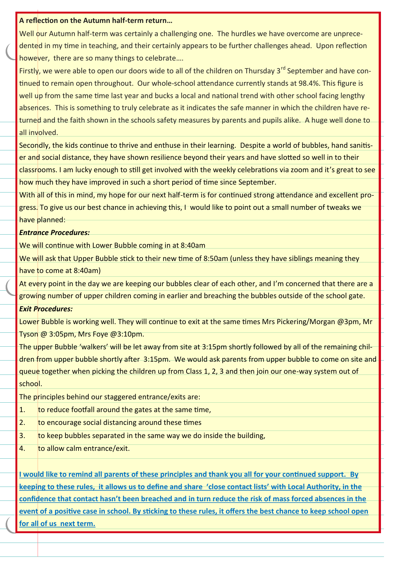## **A reflection on the Autumn half-term return…**

Well our Autumn half-term was certainly a challenging one. The hurdles we have overcome are unprecedented in my time in teaching, and their certainly appears to be further challenges ahead. Upon reflection however, there are so many things to celebrate….

Firstly, we were able to open our doors wide to all of the children on Thursday 3<sup>rd</sup> September and have continued to remain open throughout. Our whole-school attendance currently stands at 98.4%. This figure is well up from the same time last year and bucks a local and national trend with other school facing lengthy absences. This is something to truly celebrate as it indicates the safe manner in which the children have returned and the faith shown in the schools safety measures by parents and pupils alike. A huge well done to all involved.

Secondly, the kids continue to thrive and enthuse in their learning. Despite a world of bubbles, hand sanitiser and social distance, they have shown resilience beyond their years and have slotted so well in to their classrooms. I am lucky enough to still get involved with the weekly celebrations via zoom and it's great to see how much they have improved in such a short period of time since September.

With all of this in mind, my hope for our next half-term is for continued strong attendance and excellent progress. To give us our best chance in achieving this, I would like to point out a small number of tweaks we have planned:

## *Entrance Procedures:*

We will continue with Lower Bubble coming in at 8:40am

We will ask that Upper Bubble stick to their new time of 8:50am (unless they have siblings meaning they have to come at 8:40am)

At every point in the day we are keeping our bubbles clear of each other, and I'm concerned that there are a growing number of upper children coming in earlier and breaching the bubbles outside of the school gate.

## *Exit Procedures:*

Lower Bubble is working well. They will continue to exit at the same times Mrs Pickering/Morgan @3pm, Mr Tyson @ 3:05pm, Mrs Foye @3:10pm.

The upper Bubble 'walkers' will be let away from site at 3:15pm shortly followed by all of the remaining children from upper bubble shortly after 3:15pm. We would ask parents from upper bubble to come on site and queue together when picking the children up from Class 1, 2, 3 and then join our one-way system out of school.

The principles behind our staggered entrance/exits are:

- 1. to reduce footfall around the gates at the same time,
- 2. to encourage social distancing around these times
- 3. to keep bubbles separated in the same way we do inside the building,
- 4. to allow calm entrance/exit.

**I would like to remind all parents of these principles and thank you all for your continued support. By keeping to these rules, it allows us to define and share 'close contact lists' with Local Authority, in the confidence that contact hasn't been breached and in turn reduce the risk of mass forced absences in the event of a positive case in school. By sticking to these rules, it offers the best chance to keep school open for all of us next term.**